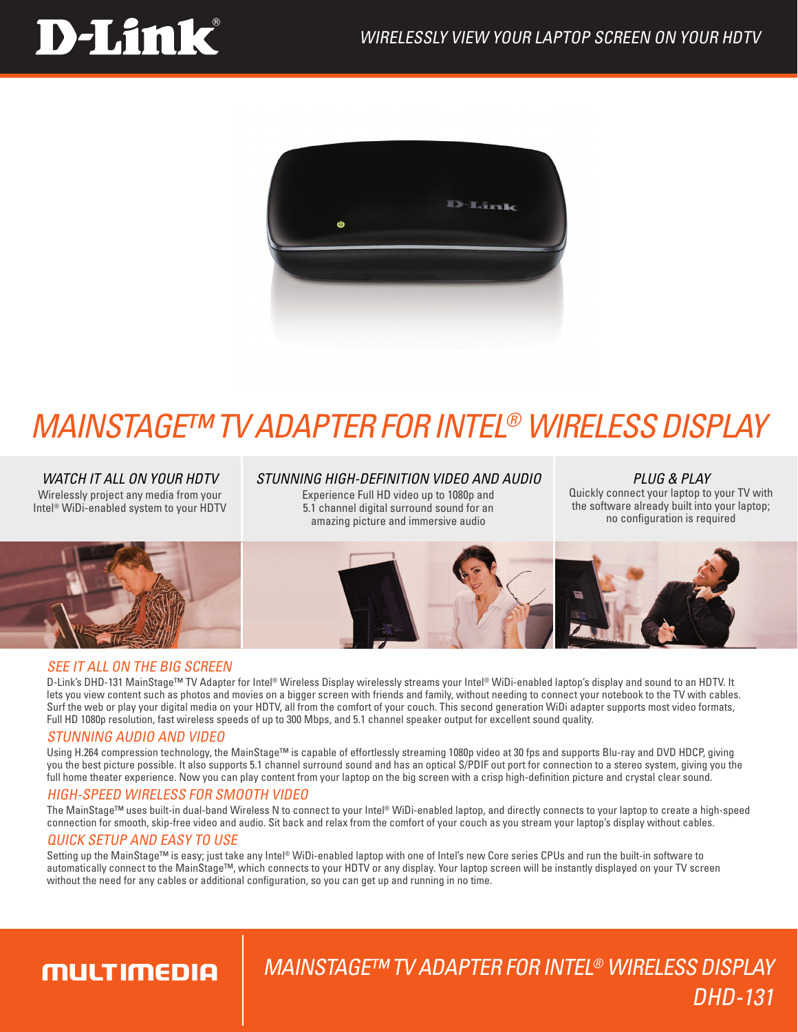# **D-Link**



# *MAINSTAGE™ TV ADAPTER FOR INTEL® WIRELESS DISPLAY*

*Watch It All On Your HDTV* Wirelessly project any media from your Intel<sup>®</sup> WiDi-enabled system to your HDTV

### *stunning high-definition video and Audio*

Experience Full HD video up to 1080p and 5.1 channel digital surround sound for an amazing picture and immersive audio

*Plug & Play* Quickly connect your laptop to your TV with the software already built into your laptop; no configuration is required



## SEE IT ALL ON THE BIG SCREEN

D-Link's DHD-131 MainStage™ TV Adapter for Intel® Wireless Display wirelessly streams your Intel® WiDi-enabled laptop's display and sound to an HDTV. It lets you view content such as photos and movies on a bigger screen with friends and family, without needing to connect your notebook to the TV with cables. Surf the web or play your digital media on your HDTV, all from the comfort of your couch. This second generation WiDi adapter supports most video formats, Full HD 1080p resolution, fast wireless speeds of up to 300 Mbps, and 5.1 channel speaker output for excellent sound quality.

## Stunning Audio and Video

Using H.264 compression technology, the MainStage™ is capable of effortlessly streaming 1080p video at 30 fps and supports Blu-ray and DVD HDCP, giving you the best picture possible. It also supports 5.1 channel surround sound and has an optical S/PDIF out port for connection to a stereo system, giving you the full home theater experience. Now you can play content from your laptop on the big screen with a crisp high-definition picture and crystal clear sound.

## High-Speed Wireless for Smooth Video

The MainStage™ uses built-in dual-band Wireless N to connect to your Intel® WiDi-enabled laptop, and directly connects to your laptop to create a high-speed connection for smooth, skip-free video and audio. Sit back and relax from the comfort of your couch as you stream your laptop's display without cables.

## Quick setup and easy to use

Setting up the MainStage™ is easy; just take any Intel® WiDi-enabled laptop with one of Intel's new Core series CPUs and run the built-in software to automatically connect to the MainStage™, which connects to your HDTV or any display. Your laptop screen will be instantly displayed on your TV screen without the need for any cables or additional configuration, so you can get up and running in no time.

# **MULTIMEDIA**

# MainStage™ TV Adapter for Intel® Wireless Display DHD-131